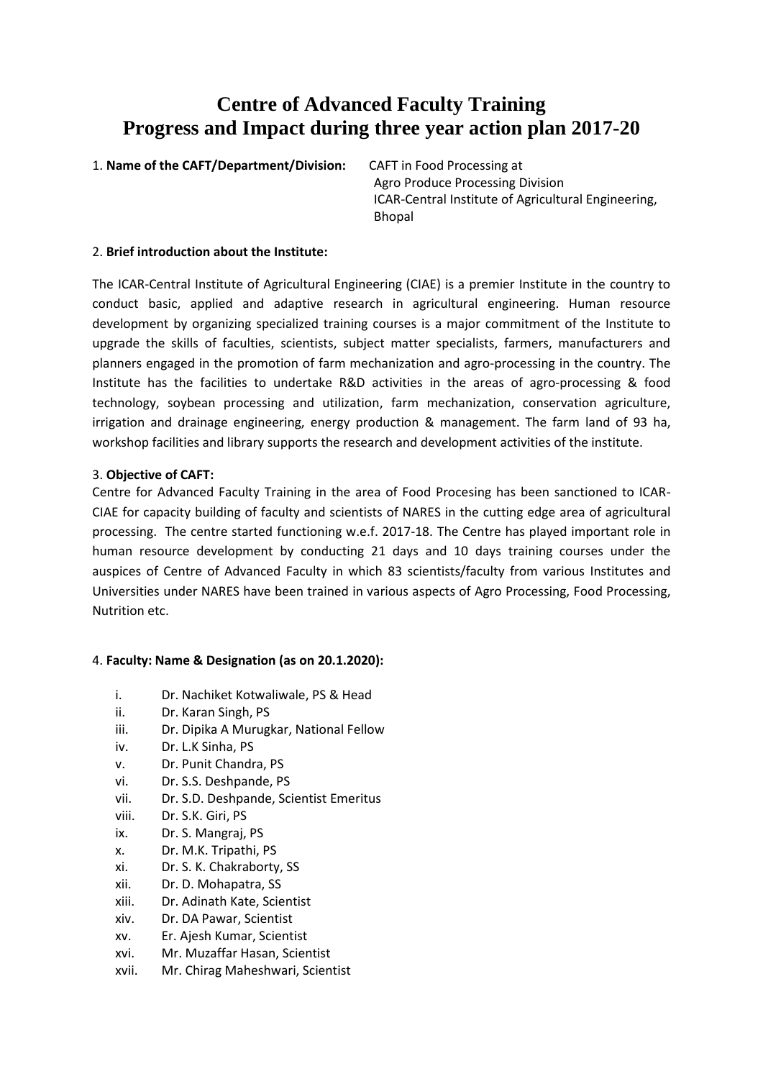# **Centre of Advanced Faculty Training Progress and Impact during three year action plan 2017-20**

1. **Name of the CAFT/Department/Division:** CAFT in Food Processing at

Agro Produce Processing Division ICAR-Central Institute of Agricultural Engineering, Bhopal

#### 2. **Brief introduction about the Institute:**

The ICAR-Central Institute of Agricultural Engineering (CIAE) is a premier Institute in the country to conduct basic, applied and adaptive research in agricultural engineering. Human resource development by organizing specialized training courses is a major commitment of the Institute to upgrade the skills of faculties, scientists, subject matter specialists, farmers, manufacturers and planners engaged in the promotion of farm mechanization and agro-processing in the country. The Institute has the facilities to undertake R&D activities in the areas of agro-processing & food technology, soybean processing and utilization, farm mechanization, conservation agriculture, irrigation and drainage engineering, energy production & management. The farm land of 93 ha, workshop facilities and library supports the research and development activities of the institute.

## 3. **Objective of CAFT:**

Centre for Advanced Faculty Training in the area of Food Procesing has been sanctioned to ICAR-CIAE for capacity building of faculty and scientists of NARES in the cutting edge area of agricultural processing. The centre started functioning w.e.f. 2017-18. The Centre has played important role in human resource development by conducting 21 days and 10 days training courses under the auspices of Centre of Advanced Faculty in which 83 scientists/faculty from various Institutes and Universities under NARES have been trained in various aspects of Agro Processing, Food Processing, Nutrition etc.

# 4. **Faculty: Name & Designation (as on 20.1.2020):**

- i. Dr. Nachiket Kotwaliwale, PS & Head
- ii. Dr. Karan Singh, PS
- iii. Dr. Dipika A Murugkar, National Fellow
- iv. Dr. L.K Sinha, PS
- v. Dr. Punit Chandra, PS
- vi. Dr. S.S. Deshpande, PS
- vii. Dr. S.D. Deshpande, Scientist Emeritus
- viii. Dr. S.K. Giri, PS
- ix. Dr. S. Mangraj, PS
- x. Dr. M.K. Tripathi, PS
- xi. Dr. S. K. Chakraborty, SS
- xii. Dr. D. Mohapatra, SS
- xiii. Dr. Adinath Kate, Scientist
- xiv. Dr. DA Pawar, Scientist
- xv. Er. Ajesh Kumar, Scientist
- xvi. Mr. Muzaffar Hasan, Scientist
- xvii. Mr. Chirag Maheshwari, Scientist